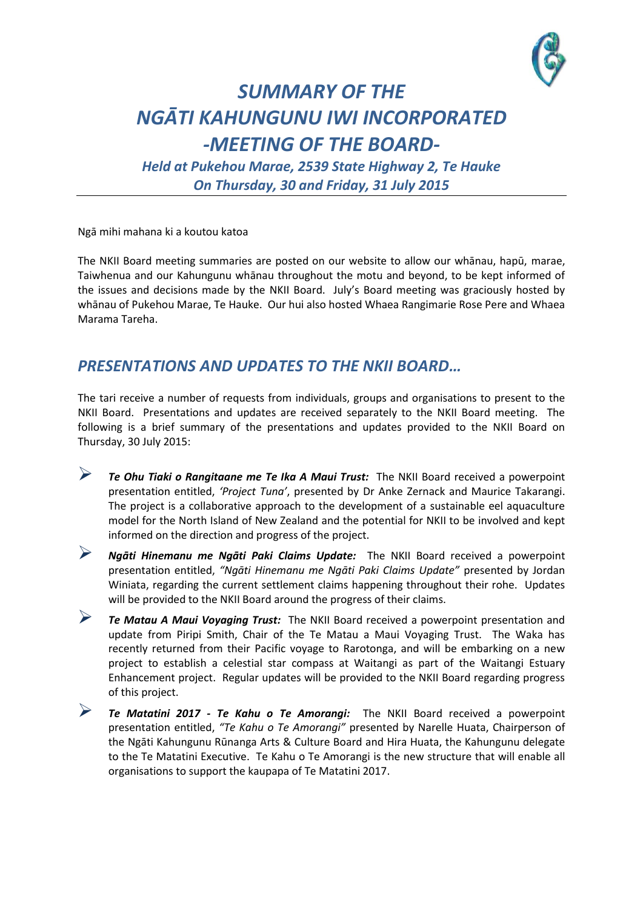

## *SUMMARY OF THE NGĀTI KAHUNGUNU IWI INCORPORATED -MEETING OF THE BOARD-*

*Held at Pukehou Marae, 2539 State Highway 2, Te Hauke On Thursday, 30 and Friday, 31 July 2015*

Ngā mihi mahana ki a koutou katoa

The NKII Board meeting summaries are posted on our website to allow our whānau, hapū, marae, Taiwhenua and our Kahungunu whānau throughout the motu and beyond, to be kept informed of the issues and decisions made by the NKII Board. July's Board meeting was graciously hosted by whānau of Pukehou Marae, Te Hauke. Our hui also hosted Whaea Rangimarie Rose Pere and Whaea Marama Tareha.

## *PRESENTATIONS AND UPDATES TO THE NKII BOARD…*

The tari receive a number of requests from individuals, groups and organisations to present to the NKII Board. Presentations and updates are received separately to the NKII Board meeting. The following is a brief summary of the presentations and updates provided to the NKII Board on Thursday, 30 July 2015:

- *Te Ohu Tiaki o Rangitaane me Te Ika A Maui Trust:* The NKII Board received a powerpoint presentation entitled, *'Project Tuna'*, presented by Dr Anke Zernack and Maurice Takarangi. The project is a collaborative approach to the development of a sustainable eel aquaculture model for the North Island of New Zealand and the potential for NKII to be involved and kept informed on the direction and progress of the project.
- *Ngāti Hinemanu me Ngāti Paki Claims Update:* The NKII Board received a powerpoint presentation entitled, *"Ngāti Hinemanu me Ngāti Paki Claims Update"* presented by Jordan Winiata, regarding the current settlement claims happening throughout their rohe. Updates will be provided to the NKII Board around the progress of their claims.
- *Te Matau A Maui Voyaging Trust:* The NKII Board received a powerpoint presentation and update from Piripi Smith, Chair of the Te Matau a Maui Voyaging Trust. The Waka has recently returned from their Pacific voyage to Rarotonga, and will be embarking on a new project to establish a celestial star compass at Waitangi as part of the Waitangi Estuary Enhancement project. Regular updates will be provided to the NKII Board regarding progress of this project.
- *Te Matatini 2017 - Te Kahu o Te Amorangi:* The NKII Board received a powerpoint presentation entitled, *"Te Kahu o Te Amorangi"* presented by Narelle Huata, Chairperson of the Ngāti Kahungunu Rūnanga Arts & Culture Board and Hira Huata, the Kahungunu delegate to the Te Matatini Executive. Te Kahu o Te Amorangi is the new structure that will enable all organisations to support the kaupapa of Te Matatini 2017.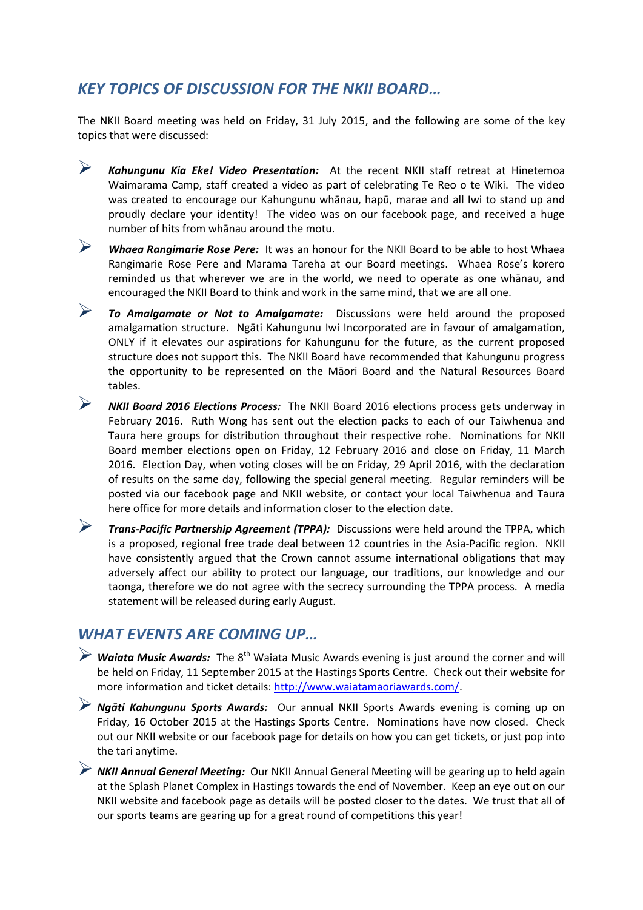## *KEY TOPICS OF DISCUSSION FOR THE NKII BOARD…*

The NKII Board meeting was held on Friday, 31 July 2015, and the following are some of the key topics that were discussed:

- *Kahungunu Kia Eke! Video Presentation:* At the recent NKII staff retreat at Hinetemoa Waimarama Camp, staff created a video as part of celebrating Te Reo o te Wiki. The video was created to encourage our Kahungunu whānau, hapū, marae and all Iwi to stand up and proudly declare your identity! The video was on our facebook page, and received a huge number of hits from whānau around the motu.
- *Whaea Rangimarie Rose Pere:* It was an honour for the NKII Board to be able to host Whaea Rangimarie Rose Pere and Marama Tareha at our Board meetings. Whaea Rose's korero reminded us that wherever we are in the world, we need to operate as one whānau, and encouraged the NKII Board to think and work in the same mind, that we are all one.
- *To Amalgamate or Not to Amalgamate:* Discussions were held around the proposed amalgamation structure. Ngāti Kahungunu Iwi Incorporated are in favour of amalgamation, ONLY if it elevates our aspirations for Kahungunu for the future, as the current proposed structure does not support this. The NKII Board have recommended that Kahungunu progress the opportunity to be represented on the Māori Board and the Natural Resources Board tables.
- *NKII Board 2016 Elections Process:* The NKII Board 2016 elections process gets underway in February 2016. Ruth Wong has sent out the election packs to each of our Taiwhenua and Taura here groups for distribution throughout their respective rohe. Nominations for NKII Board member elections open on Friday, 12 February 2016 and close on Friday, 11 March 2016. Election Day, when voting closes will be on Friday, 29 April 2016, with the declaration of results on the same day, following the special general meeting. Regular reminders will be posted via our facebook page and NKII website, or contact your local Taiwhenua and Taura here office for more details and information closer to the election date.
- *Trans-Pacific Partnership Agreement (TPPA):* Discussions were held around the TPPA, which is a proposed, regional free trade deal between 12 countries in the Asia-Pacific region. NKII have consistently argued that the Crown cannot assume international obligations that may adversely affect our ability to protect our language, our traditions, our knowledge and our taonga, therefore we do not agree with the secrecy surrounding the TPPA process. A media statement will be released during early August.

## *WHAT EVENTS ARE COMING UP…*

- **► Waiata Music Awards:** The 8<sup>th</sup> Waiata Music Awards evening is just around the corner and will be held on Friday, 11 September 2015 at the Hastings Sports Centre. Check out their website for more information and ticket details: [http://www.waiatamaoriawards.com/.](http://www.waiatamaoriawards.com/)
- *Ngāti Kahungunu Sports Awards:* Our annual NKII Sports Awards evening is coming up on Friday, 16 October 2015 at the Hastings Sports Centre. Nominations have now closed. Check out our NKII website or our facebook page for details on how you can get tickets, or just pop into the tari anytime.
- *NKII Annual General Meeting:* Our NKII Annual General Meeting will be gearing up to held again at the Splash Planet Complex in Hastings towards the end of November. Keep an eye out on our NKII website and facebook page as details will be posted closer to the dates. We trust that all of our sports teams are gearing up for a great round of competitions this year!